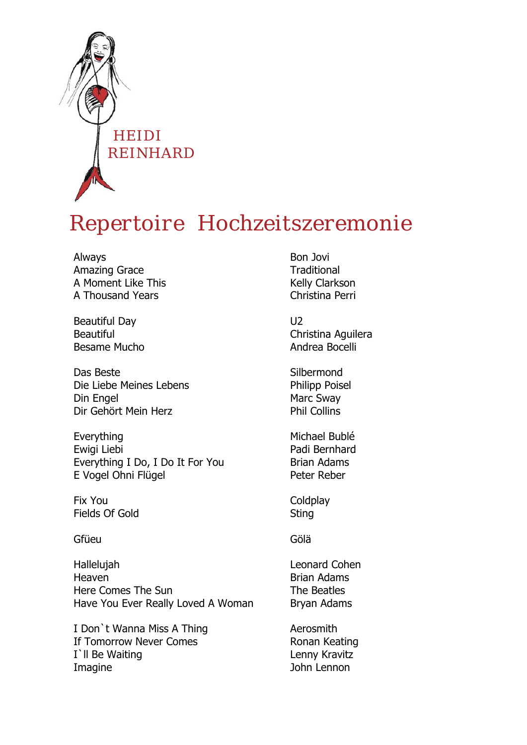

## *Repertoire Hochzeitszeremonie*

Always Amazing Grace A Moment Like This A Thousand Years

Beautiful Day Beautiful Besame Mucho

Das Beste Die Liebe Meines Lebens Din Engel Dir Gehört Mein Herz

Everything Ewigi Liebi Everything I Do, I Do It For You E Vogel Ohni Flügel

Fix You Fields Of Gold

**Gfüeu** 

Hallelujah Heaven Here Comes The Sun Have You Ever Really Loved A Woman

I Don`t Wanna Miss A Thing If Tomorrow Never Comes I'll Be Waiting Imagine

Bon Jovi **Traditional** Kelly Clarkson Christina Perri

 $U<sub>2</sub>$ Christina Aguilera Andrea Bocelli

**Silbermond** Philipp Poisel Marc Sway Phil Collins

Michael Bublé Padi Bernhard Brian Adams Peter Reber

**Coldplay Sting** 

Gölä

Leonard Cohen Brian Adams The Beatles Bryan Adams

Aerosmith Ronan Keating Lenny Kravitz John Lennon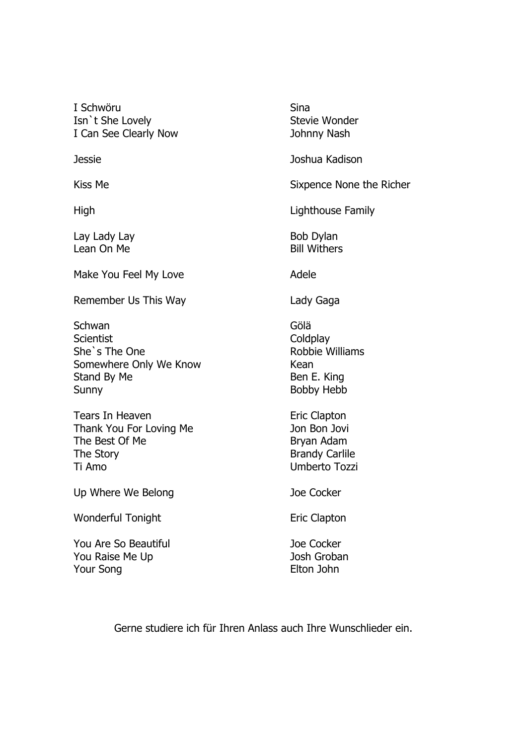I Schwöru Isn`t She Lovely I Can See Clearly Now

Jessie

Kiss Me

High

Lay Lady Lay Lean On Me

Make You Feel My Love

Remember Us This Way

Schwan **Scientist** She`s The One Somewhere Only We Know Stand By Me Sunny

Tears In Heaven Thank You For Loving Me The Best Of Me The Story Ti Amo

Up Where We Belong

Wonderful Tonight

You Are So Beautiful You Raise Me Up Your Song

Sina Stevie Wonder Johnny Nash Joshua Kadison Sixpence None the Richer

Lighthouse Family

Bob Dylan Bill Withers

Adele

Lady Gaga

Gölä **Coldplay** Robbie Williams Kean Ben E. King Bobby Hebb

Eric Clapton Jon Bon Jovi Bryan Adam Brandy Carlile Umberto Tozzi

Joe Cocker

Eric Clapton

Joe Cocker Josh Groban Elton John

Gerne studiere ich für Ihren Anlass auch Ihre Wunschlieder ein.